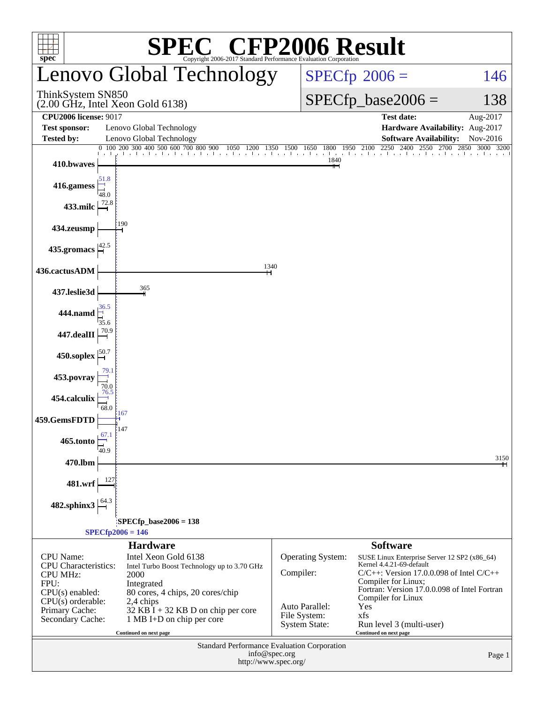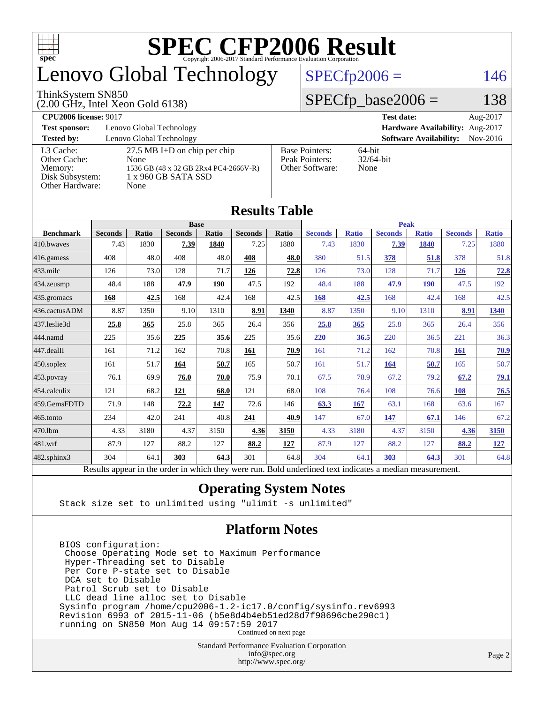

# enovo Global Technology

#### ThinkSystem SN850

(2.00 GHz, Intel Xeon Gold 6138)

#### $SPECfp2006 = 146$  $SPECfp2006 = 146$

#### $SPECfp\_base2006 = 138$

| <b>CPU2006 license: 9017</b> |                                       |                                 | <b>Test date:</b><br>Aug-2017               |  |  |  |  |
|------------------------------|---------------------------------------|---------------------------------|---------------------------------------------|--|--|--|--|
| <b>Test sponsor:</b>         | Lenovo Global Technology              | Hardware Availability: Aug-2017 |                                             |  |  |  |  |
| <b>Tested by:</b>            | Lenovo Global Technology              |                                 | <b>Software Availability:</b><br>$Nov-2016$ |  |  |  |  |
| L3 Cache:                    | $27.5$ MB I+D on chip per chip        | <b>Base Pointers:</b>           | $64$ -bit                                   |  |  |  |  |
| Other Cache:                 | None                                  | Peak Pointers:                  | $32/64$ -bit                                |  |  |  |  |
| Memory:                      | 1536 GB (48 x 32 GB 2Rx4 PC4-2666V-R) | Other Software:                 | None                                        |  |  |  |  |
| Disk Subsystem:              | 1 x 960 GB SATA SSD                   |                                 |                                             |  |  |  |  |
| Other Hardware:              | None                                  |                                 |                                             |  |  |  |  |

**[Results Table](http://www.spec.org/auto/cpu2006/Docs/result-fields.html#ResultsTable)**

|                  | Results Table                                                                                            |              |                |              |                |       |                |              |                |              |                |              |
|------------------|----------------------------------------------------------------------------------------------------------|--------------|----------------|--------------|----------------|-------|----------------|--------------|----------------|--------------|----------------|--------------|
|                  | <b>Base</b>                                                                                              |              |                |              |                |       | <b>Peak</b>    |              |                |              |                |              |
| <b>Benchmark</b> | <b>Seconds</b>                                                                                           | <b>Ratio</b> | <b>Seconds</b> | <b>Ratio</b> | <b>Seconds</b> | Ratio | <b>Seconds</b> | <b>Ratio</b> | <b>Seconds</b> | <b>Ratio</b> | <b>Seconds</b> | <b>Ratio</b> |
| 410.bwayes       | 7.43                                                                                                     | 1830         | 7.39           | 1840         | 7.25           | 1880  | 7.43           | 1830         | 7.39           | 1840         | 7.25           | 1880         |
| 416.gamess       | 408                                                                                                      | 48.0         | 408            | 48.0         | 408            | 48.0  | 380            | 51.5         | 378            | 51.8         | 378            | 51.8         |
| $433$ .milc      | 126                                                                                                      | 73.0         | 128            | 71.7         | 126            | 72.8  | 126            | 73.0         | 128            | 71.7         | 126            | 72.8         |
| $434$ . zeusmp   | 48.4                                                                                                     | 188          | 47.9           | 190          | 47.5           | 192   | 48.4           | 188          | 47.9           | <b>190</b>   | 47.5           | 192          |
| $435.$ gromacs   | 168                                                                                                      | 42.5         | 168            | 42.4         | 168            | 42.5  | 168            | 42.5         | 168            | 42.4         | 168            | 42.5         |
| 436.cactusADM    | 8.87                                                                                                     | 1350         | 9.10           | 1310         | 8.91           | 1340  | 8.87           | 1350         | 9.10           | 1310         | 8.91           | <b>1340</b>  |
| 437.leslie3d     | 25.8                                                                                                     | 365          | 25.8           | 365          | 26.4           | 356   | 25.8           | 365          | 25.8           | 365          | 26.4           | 356          |
| 444.namd         | 225                                                                                                      | 35.6         | 225            | 35.6         | 225            | 35.6  | 220            | 36.5         | 220            | 36.5         | 221            | 36.3         |
| 447.dealII       | 161                                                                                                      | 71.2         | 162            | 70.8         | 161            | 70.9  | 161            | 71.2         | 162            | 70.8         | <b>161</b>     | 70.9         |
| 450.soplex       | 161                                                                                                      | 51.7         | 164            | 50.7         | 165            | 50.7  | 161            | 51.7         | 164            | 50.7         | 165            | 50.7         |
| 453.povray       | 76.1                                                                                                     | 69.9         | 76.0           | 70.0         | 75.9           | 70.1  | 67.5           | 78.9         | 67.2           | 79.2         | 67.2           | <u>79.1</u>  |
| $454$ .calculix  | 121                                                                                                      | 68.2         | 121            | 68.0         | 121            | 68.0  | 108            | 76.4         | 108            | 76.6         | 108            | 76.5         |
| 459.GemsFDTD     | 71.9                                                                                                     | 148          | 72.2           | 147          | 72.6           | 146   | 63.3           | 167          | 63.1           | 168          | 63.6           | 167          |
| $465$ .tonto     | 234                                                                                                      | 42.0         | 241            | 40.8         | 241            | 40.9  | 147            | 67.0         | 147            | 67.1         | 146            | 67.2         |
| 470.1bm          | 4.33                                                                                                     | 3180         | 4.37           | 3150         | 4.36           | 3150  | 4.33           | 3180         | 4.37           | 3150         | 4.36           | 3150         |
| $ 481$ .wrf      | 87.9                                                                                                     | 127          | 88.2           | 127          | 88.2           | 127   | 87.9           | 127          | 88.2           | 127          | 88.2           | <u>127</u>   |
| 482.sphinx3      | 304                                                                                                      | 64.1         | 303            | 64.3         | 301            | 64.8  | 304            | 64.1         | 303            | 64.3         | 301            | 64.8         |
|                  | Results appear in the order in which they were run. Bold underlined text indicates a median measurement. |              |                |              |                |       |                |              |                |              |                |              |

#### **[Operating System Notes](http://www.spec.org/auto/cpu2006/Docs/result-fields.html#OperatingSystemNotes)**

Stack size set to unlimited using "ulimit -s unlimited"

#### **[Platform Notes](http://www.spec.org/auto/cpu2006/Docs/result-fields.html#PlatformNotes)**

 BIOS configuration: Choose Operating Mode set to Maximum Performance Hyper-Threading set to Disable Per Core P-state set to Disable DCA set to Disable Patrol Scrub set to Disable LLC dead line alloc set to Disable Sysinfo program /home/cpu2006-1.2-ic17.0/config/sysinfo.rev6993 Revision 6993 of 2015-11-06 (b5e8d4b4eb51ed28d7f98696cbe290c1) running on SN850 Mon Aug 14 09:57:59 2017 Continued on next page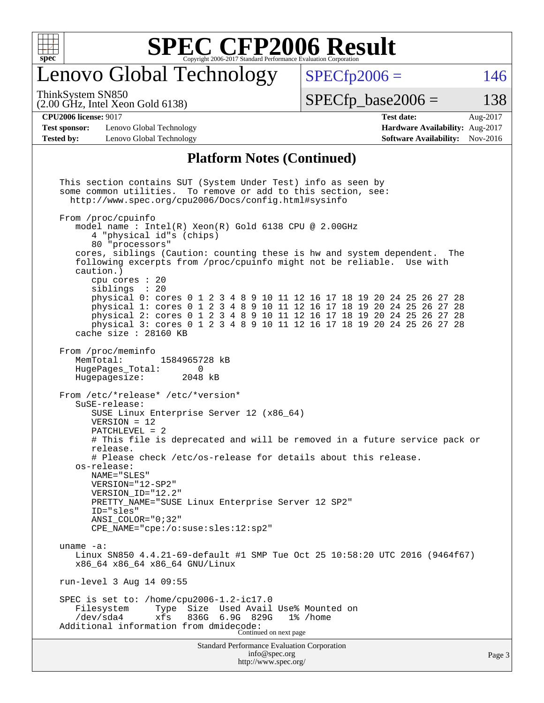

### enovo Global Technology

ThinkSystem SN850

(2.00 GHz, Intel Xeon Gold 6138)

 $SPECTp2006 = 146$ 

 $SPECTp\_base2006 = 138$ 

#### **[CPU2006 license:](http://www.spec.org/auto/cpu2006/Docs/result-fields.html#CPU2006license)** 9017 **[Test date:](http://www.spec.org/auto/cpu2006/Docs/result-fields.html#Testdate)** Aug-2017

**[Test sponsor:](http://www.spec.org/auto/cpu2006/Docs/result-fields.html#Testsponsor)** Lenovo Global Technology **[Hardware Availability:](http://www.spec.org/auto/cpu2006/Docs/result-fields.html#HardwareAvailability)** Aug-2017 **[Tested by:](http://www.spec.org/auto/cpu2006/Docs/result-fields.html#Testedby)** Lenovo Global Technology **[Software Availability:](http://www.spec.org/auto/cpu2006/Docs/result-fields.html#SoftwareAvailability)** Nov-2016

# **[Platform Notes \(Continued\)](http://www.spec.org/auto/cpu2006/Docs/result-fields.html#PlatformNotes)**

Standard Performance Evaluation Corporation [info@spec.org](mailto:info@spec.org) This section contains SUT (System Under Test) info as seen by some common utilities. To remove or add to this section, see: <http://www.spec.org/cpu2006/Docs/config.html#sysinfo> From /proc/cpuinfo model name : Intel(R) Xeon(R) Gold 6138 CPU @ 2.00GHz 4 "physical id"s (chips) 80 "processors" cores, siblings (Caution: counting these is hw and system dependent. The following excerpts from /proc/cpuinfo might not be reliable. Use with caution.) cpu cores : 20 siblings : 20 physical 0: cores 0 1 2 3 4 8 9 10 11 12 16 17 18 19 20 24 25 26 27 28 physical 1: cores 0 1 2 3 4 8 9 10 11 12 16 17 18 19 20 24 25 26 27 28 physical 2: cores 0 1 2 3 4 8 9 10 11 12 16 17 18 19 20 24 25 26 27 28 physical 3: cores 0 1 2 3 4 8 9 10 11 12 16 17 18 19 20 24 25 26 27 28 cache size : 28160 KB From /proc/meminfo MemTotal: 1584965728 kB HugePages\_Total: 0 Hugepagesize: 2048 kB From /etc/\*release\* /etc/\*version\* SuSE-release: SUSE Linux Enterprise Server 12 (x86\_64) VERSION = 12 PATCHLEVEL = 2 # This file is deprecated and will be removed in a future service pack or release. # Please check /etc/os-release for details about this release. os-release: NAME="SLES" VERSION="12-SP2" VERSION\_ID="12.2" PRETTY\_NAME="SUSE Linux Enterprise Server 12 SP2" ID="sles" ANSI\_COLOR="0;32" CPE\_NAME="cpe:/o:suse:sles:12:sp2" uname -a: Linux SN850 4.4.21-69-default #1 SMP Tue Oct 25 10:58:20 UTC 2016 (9464f67) x86\_64 x86\_64 x86\_64 GNU/Linux run-level 3 Aug 14 09:55 SPEC is set to: /home/cpu2006-1.2-ic17.0 Type Size Used Avail Use% Mounted on /dev/sda4 xfs 836G 6.9G 829G 1% /home Additional information from dmidecode: Continued on next page

<http://www.spec.org/>

Page 3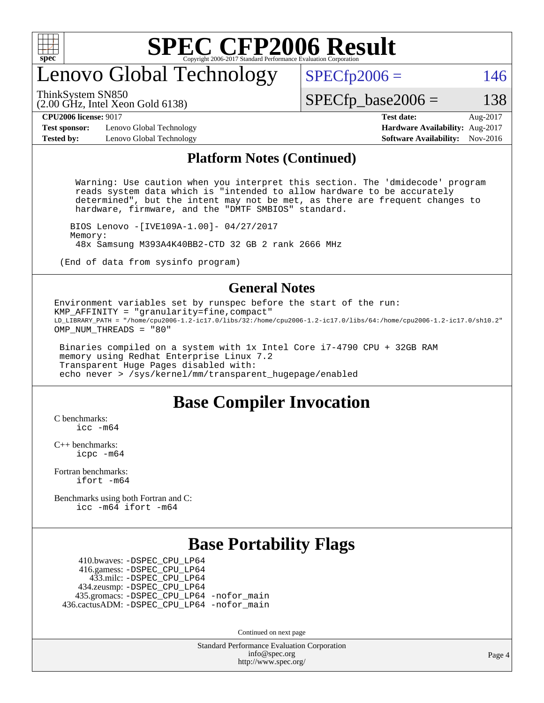

### enovo Global Technology

ThinkSystem SN850

(2.00 GHz, Intel Xeon Gold 6138)

 $SPECTp2006 = 146$ 

**[Test sponsor:](http://www.spec.org/auto/cpu2006/Docs/result-fields.html#Testsponsor)** Lenovo Global Technology **[Hardware Availability:](http://www.spec.org/auto/cpu2006/Docs/result-fields.html#HardwareAvailability)** Aug-2017 **[Tested by:](http://www.spec.org/auto/cpu2006/Docs/result-fields.html#Testedby)** Lenovo Global Technology **[Software Availability:](http://www.spec.org/auto/cpu2006/Docs/result-fields.html#SoftwareAvailability)** Nov-2016

**[CPU2006 license:](http://www.spec.org/auto/cpu2006/Docs/result-fields.html#CPU2006license)** 9017 **[Test date:](http://www.spec.org/auto/cpu2006/Docs/result-fields.html#Testdate)** Aug-2017

 $SPECTp\_base2006 = 138$ 

#### **[Platform Notes \(Continued\)](http://www.spec.org/auto/cpu2006/Docs/result-fields.html#PlatformNotes)**

 Warning: Use caution when you interpret this section. The 'dmidecode' program reads system data which is "intended to allow hardware to be accurately determined", but the intent may not be met, as there are frequent changes to hardware, firmware, and the "DMTF SMBIOS" standard.

 BIOS Lenovo -[IVE109A-1.00]- 04/27/2017 Memory: 48x Samsung M393A4K40BB2-CTD 32 GB 2 rank 2666 MHz

(End of data from sysinfo program)

#### **[General Notes](http://www.spec.org/auto/cpu2006/Docs/result-fields.html#GeneralNotes)**

Environment variables set by runspec before the start of the run: KMP\_AFFINITY = "granularity=fine,compact" LD\_LIBRARY\_PATH = "/home/cpu2006-1.2-ic17.0/libs/32:/home/cpu2006-1.2-ic17.0/libs/64:/home/cpu2006-1.2-ic17.0/sh10.2" OMP\_NUM\_THREADS = "80"

 Binaries compiled on a system with 1x Intel Core i7-4790 CPU + 32GB RAM memory using Redhat Enterprise Linux 7.2 Transparent Huge Pages disabled with: echo never > /sys/kernel/mm/transparent\_hugepage/enabled

#### **[Base Compiler Invocation](http://www.spec.org/auto/cpu2006/Docs/result-fields.html#BaseCompilerInvocation)**

[C benchmarks](http://www.spec.org/auto/cpu2006/Docs/result-fields.html#Cbenchmarks):  $inc - m64$ 

[C++ benchmarks:](http://www.spec.org/auto/cpu2006/Docs/result-fields.html#CXXbenchmarks) [icpc -m64](http://www.spec.org/cpu2006/results/res2017q4/cpu2006-20170918-50018.flags.html#user_CXXbase_intel_icpc_64bit_fc66a5337ce925472a5c54ad6a0de310)

[Fortran benchmarks](http://www.spec.org/auto/cpu2006/Docs/result-fields.html#Fortranbenchmarks): [ifort -m64](http://www.spec.org/cpu2006/results/res2017q4/cpu2006-20170918-50018.flags.html#user_FCbase_intel_ifort_64bit_ee9d0fb25645d0210d97eb0527dcc06e)

[Benchmarks using both Fortran and C](http://www.spec.org/auto/cpu2006/Docs/result-fields.html#BenchmarksusingbothFortranandC): [icc -m64](http://www.spec.org/cpu2006/results/res2017q4/cpu2006-20170918-50018.flags.html#user_CC_FCbase_intel_icc_64bit_bda6cc9af1fdbb0edc3795bac97ada53) [ifort -m64](http://www.spec.org/cpu2006/results/res2017q4/cpu2006-20170918-50018.flags.html#user_CC_FCbase_intel_ifort_64bit_ee9d0fb25645d0210d97eb0527dcc06e)

#### **[Base Portability Flags](http://www.spec.org/auto/cpu2006/Docs/result-fields.html#BasePortabilityFlags)**

 410.bwaves: [-DSPEC\\_CPU\\_LP64](http://www.spec.org/cpu2006/results/res2017q4/cpu2006-20170918-50018.flags.html#suite_basePORTABILITY410_bwaves_DSPEC_CPU_LP64) 416.gamess: [-DSPEC\\_CPU\\_LP64](http://www.spec.org/cpu2006/results/res2017q4/cpu2006-20170918-50018.flags.html#suite_basePORTABILITY416_gamess_DSPEC_CPU_LP64) 433.milc: [-DSPEC\\_CPU\\_LP64](http://www.spec.org/cpu2006/results/res2017q4/cpu2006-20170918-50018.flags.html#suite_basePORTABILITY433_milc_DSPEC_CPU_LP64) 434.zeusmp: [-DSPEC\\_CPU\\_LP64](http://www.spec.org/cpu2006/results/res2017q4/cpu2006-20170918-50018.flags.html#suite_basePORTABILITY434_zeusmp_DSPEC_CPU_LP64) 435.gromacs: [-DSPEC\\_CPU\\_LP64](http://www.spec.org/cpu2006/results/res2017q4/cpu2006-20170918-50018.flags.html#suite_basePORTABILITY435_gromacs_DSPEC_CPU_LP64) [-nofor\\_main](http://www.spec.org/cpu2006/results/res2017q4/cpu2006-20170918-50018.flags.html#user_baseLDPORTABILITY435_gromacs_f-nofor_main) 436.cactusADM: [-DSPEC\\_CPU\\_LP64](http://www.spec.org/cpu2006/results/res2017q4/cpu2006-20170918-50018.flags.html#suite_basePORTABILITY436_cactusADM_DSPEC_CPU_LP64) [-nofor\\_main](http://www.spec.org/cpu2006/results/res2017q4/cpu2006-20170918-50018.flags.html#user_baseLDPORTABILITY436_cactusADM_f-nofor_main)

Continued on next page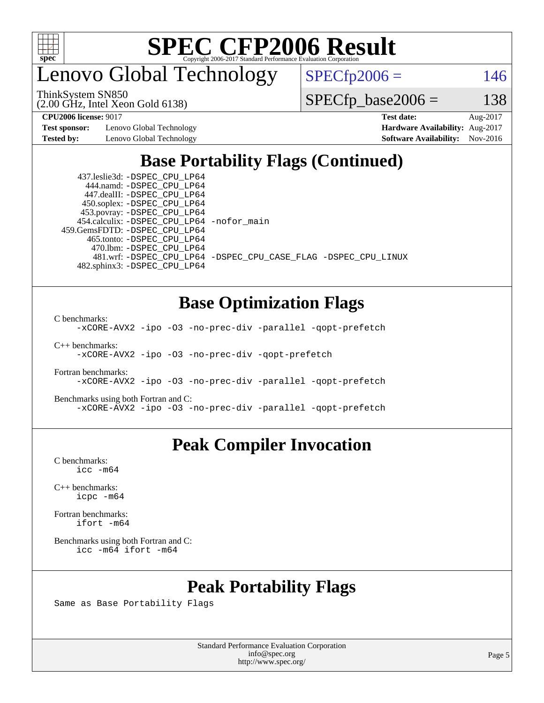

enovo Global Technology

 $SPECfp2006 = 146$  $SPECfp2006 = 146$ 

(2.00 GHz, Intel Xeon Gold 6138) ThinkSystem SN850

 $SPECTp\_base2006 = 138$ 

**[Test sponsor:](http://www.spec.org/auto/cpu2006/Docs/result-fields.html#Testsponsor)** Lenovo Global Technology **[Hardware Availability:](http://www.spec.org/auto/cpu2006/Docs/result-fields.html#HardwareAvailability)** Aug-2017

**[CPU2006 license:](http://www.spec.org/auto/cpu2006/Docs/result-fields.html#CPU2006license)** 9017 **[Test date:](http://www.spec.org/auto/cpu2006/Docs/result-fields.html#Testdate)** Aug-2017 **[Tested by:](http://www.spec.org/auto/cpu2006/Docs/result-fields.html#Testedby)** Lenovo Global Technology **[Software Availability:](http://www.spec.org/auto/cpu2006/Docs/result-fields.html#SoftwareAvailability)** Nov-2016

### **[Base Portability Flags \(Continued\)](http://www.spec.org/auto/cpu2006/Docs/result-fields.html#BasePortabilityFlags)**

 437.leslie3d: [-DSPEC\\_CPU\\_LP64](http://www.spec.org/cpu2006/results/res2017q4/cpu2006-20170918-50018.flags.html#suite_basePORTABILITY437_leslie3d_DSPEC_CPU_LP64) 444.namd: [-DSPEC\\_CPU\\_LP64](http://www.spec.org/cpu2006/results/res2017q4/cpu2006-20170918-50018.flags.html#suite_basePORTABILITY444_namd_DSPEC_CPU_LP64) 447.dealII: [-DSPEC\\_CPU\\_LP64](http://www.spec.org/cpu2006/results/res2017q4/cpu2006-20170918-50018.flags.html#suite_basePORTABILITY447_dealII_DSPEC_CPU_LP64) 450.soplex: [-DSPEC\\_CPU\\_LP64](http://www.spec.org/cpu2006/results/res2017q4/cpu2006-20170918-50018.flags.html#suite_basePORTABILITY450_soplex_DSPEC_CPU_LP64) 453.povray: [-DSPEC\\_CPU\\_LP64](http://www.spec.org/cpu2006/results/res2017q4/cpu2006-20170918-50018.flags.html#suite_basePORTABILITY453_povray_DSPEC_CPU_LP64) 454.calculix: [-DSPEC\\_CPU\\_LP64](http://www.spec.org/cpu2006/results/res2017q4/cpu2006-20170918-50018.flags.html#suite_basePORTABILITY454_calculix_DSPEC_CPU_LP64) [-nofor\\_main](http://www.spec.org/cpu2006/results/res2017q4/cpu2006-20170918-50018.flags.html#user_baseLDPORTABILITY454_calculix_f-nofor_main) 459.GemsFDTD: [-DSPEC\\_CPU\\_LP64](http://www.spec.org/cpu2006/results/res2017q4/cpu2006-20170918-50018.flags.html#suite_basePORTABILITY459_GemsFDTD_DSPEC_CPU_LP64) 465.tonto: [-DSPEC\\_CPU\\_LP64](http://www.spec.org/cpu2006/results/res2017q4/cpu2006-20170918-50018.flags.html#suite_basePORTABILITY465_tonto_DSPEC_CPU_LP64) 470.lbm: [-DSPEC\\_CPU\\_LP64](http://www.spec.org/cpu2006/results/res2017q4/cpu2006-20170918-50018.flags.html#suite_basePORTABILITY470_lbm_DSPEC_CPU_LP64) 482.sphinx3: [-DSPEC\\_CPU\\_LP64](http://www.spec.org/cpu2006/results/res2017q4/cpu2006-20170918-50018.flags.html#suite_basePORTABILITY482_sphinx3_DSPEC_CPU_LP64)

481.wrf: [-DSPEC\\_CPU\\_LP64](http://www.spec.org/cpu2006/results/res2017q4/cpu2006-20170918-50018.flags.html#suite_basePORTABILITY481_wrf_DSPEC_CPU_LP64) [-DSPEC\\_CPU\\_CASE\\_FLAG](http://www.spec.org/cpu2006/results/res2017q4/cpu2006-20170918-50018.flags.html#b481.wrf_baseCPORTABILITY_DSPEC_CPU_CASE_FLAG) [-DSPEC\\_CPU\\_LINUX](http://www.spec.org/cpu2006/results/res2017q4/cpu2006-20170918-50018.flags.html#b481.wrf_baseCPORTABILITY_DSPEC_CPU_LINUX)

#### **[Base Optimization Flags](http://www.spec.org/auto/cpu2006/Docs/result-fields.html#BaseOptimizationFlags)**

[C benchmarks](http://www.spec.org/auto/cpu2006/Docs/result-fields.html#Cbenchmarks):

[-xCORE-AVX2](http://www.spec.org/cpu2006/results/res2017q4/cpu2006-20170918-50018.flags.html#user_CCbase_f-xCORE-AVX2) [-ipo](http://www.spec.org/cpu2006/results/res2017q4/cpu2006-20170918-50018.flags.html#user_CCbase_f-ipo) [-O3](http://www.spec.org/cpu2006/results/res2017q4/cpu2006-20170918-50018.flags.html#user_CCbase_f-O3) [-no-prec-div](http://www.spec.org/cpu2006/results/res2017q4/cpu2006-20170918-50018.flags.html#user_CCbase_f-no-prec-div) [-parallel](http://www.spec.org/cpu2006/results/res2017q4/cpu2006-20170918-50018.flags.html#user_CCbase_f-parallel) [-qopt-prefetch](http://www.spec.org/cpu2006/results/res2017q4/cpu2006-20170918-50018.flags.html#user_CCbase_f-qopt-prefetch)

[C++ benchmarks:](http://www.spec.org/auto/cpu2006/Docs/result-fields.html#CXXbenchmarks)

[-xCORE-AVX2](http://www.spec.org/cpu2006/results/res2017q4/cpu2006-20170918-50018.flags.html#user_CXXbase_f-xCORE-AVX2) [-ipo](http://www.spec.org/cpu2006/results/res2017q4/cpu2006-20170918-50018.flags.html#user_CXXbase_f-ipo) [-O3](http://www.spec.org/cpu2006/results/res2017q4/cpu2006-20170918-50018.flags.html#user_CXXbase_f-O3) [-no-prec-div](http://www.spec.org/cpu2006/results/res2017q4/cpu2006-20170918-50018.flags.html#user_CXXbase_f-no-prec-div) [-qopt-prefetch](http://www.spec.org/cpu2006/results/res2017q4/cpu2006-20170918-50018.flags.html#user_CXXbase_f-qopt-prefetch)

[Fortran benchmarks](http://www.spec.org/auto/cpu2006/Docs/result-fields.html#Fortranbenchmarks): [-xCORE-AVX2](http://www.spec.org/cpu2006/results/res2017q4/cpu2006-20170918-50018.flags.html#user_FCbase_f-xCORE-AVX2) [-ipo](http://www.spec.org/cpu2006/results/res2017q4/cpu2006-20170918-50018.flags.html#user_FCbase_f-ipo) [-O3](http://www.spec.org/cpu2006/results/res2017q4/cpu2006-20170918-50018.flags.html#user_FCbase_f-O3) [-no-prec-div](http://www.spec.org/cpu2006/results/res2017q4/cpu2006-20170918-50018.flags.html#user_FCbase_f-no-prec-div) [-parallel](http://www.spec.org/cpu2006/results/res2017q4/cpu2006-20170918-50018.flags.html#user_FCbase_f-parallel) [-qopt-prefetch](http://www.spec.org/cpu2006/results/res2017q4/cpu2006-20170918-50018.flags.html#user_FCbase_f-qopt-prefetch)

[Benchmarks using both Fortran and C](http://www.spec.org/auto/cpu2006/Docs/result-fields.html#BenchmarksusingbothFortranandC): [-xCORE-AVX2](http://www.spec.org/cpu2006/results/res2017q4/cpu2006-20170918-50018.flags.html#user_CC_FCbase_f-xCORE-AVX2) [-ipo](http://www.spec.org/cpu2006/results/res2017q4/cpu2006-20170918-50018.flags.html#user_CC_FCbase_f-ipo) [-O3](http://www.spec.org/cpu2006/results/res2017q4/cpu2006-20170918-50018.flags.html#user_CC_FCbase_f-O3) [-no-prec-div](http://www.spec.org/cpu2006/results/res2017q4/cpu2006-20170918-50018.flags.html#user_CC_FCbase_f-no-prec-div) [-parallel](http://www.spec.org/cpu2006/results/res2017q4/cpu2006-20170918-50018.flags.html#user_CC_FCbase_f-parallel) [-qopt-prefetch](http://www.spec.org/cpu2006/results/res2017q4/cpu2006-20170918-50018.flags.html#user_CC_FCbase_f-qopt-prefetch)

#### **[Peak Compiler Invocation](http://www.spec.org/auto/cpu2006/Docs/result-fields.html#PeakCompilerInvocation)**

[C benchmarks](http://www.spec.org/auto/cpu2006/Docs/result-fields.html#Cbenchmarks): [icc -m64](http://www.spec.org/cpu2006/results/res2017q4/cpu2006-20170918-50018.flags.html#user_CCpeak_intel_icc_64bit_bda6cc9af1fdbb0edc3795bac97ada53)

[C++ benchmarks:](http://www.spec.org/auto/cpu2006/Docs/result-fields.html#CXXbenchmarks) [icpc -m64](http://www.spec.org/cpu2006/results/res2017q4/cpu2006-20170918-50018.flags.html#user_CXXpeak_intel_icpc_64bit_fc66a5337ce925472a5c54ad6a0de310)

[Fortran benchmarks](http://www.spec.org/auto/cpu2006/Docs/result-fields.html#Fortranbenchmarks): [ifort -m64](http://www.spec.org/cpu2006/results/res2017q4/cpu2006-20170918-50018.flags.html#user_FCpeak_intel_ifort_64bit_ee9d0fb25645d0210d97eb0527dcc06e)

[Benchmarks using both Fortran and C](http://www.spec.org/auto/cpu2006/Docs/result-fields.html#BenchmarksusingbothFortranandC): [icc -m64](http://www.spec.org/cpu2006/results/res2017q4/cpu2006-20170918-50018.flags.html#user_CC_FCpeak_intel_icc_64bit_bda6cc9af1fdbb0edc3795bac97ada53) [ifort -m64](http://www.spec.org/cpu2006/results/res2017q4/cpu2006-20170918-50018.flags.html#user_CC_FCpeak_intel_ifort_64bit_ee9d0fb25645d0210d97eb0527dcc06e)

#### **[Peak Portability Flags](http://www.spec.org/auto/cpu2006/Docs/result-fields.html#PeakPortabilityFlags)**

Same as Base Portability Flags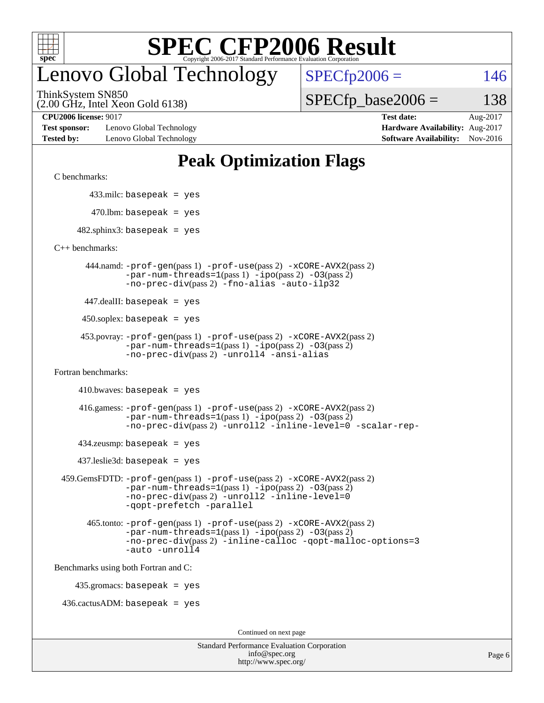

### enovo Global Technology

ThinkSystem SN850

(2.00 GHz, Intel Xeon Gold 6138)

 $SPECTp2006 = 146$ 

 $SPECTp\_base2006 = 138$ 

**[Test sponsor:](http://www.spec.org/auto/cpu2006/Docs/result-fields.html#Testsponsor)** Lenovo Global Technology **[Hardware Availability:](http://www.spec.org/auto/cpu2006/Docs/result-fields.html#HardwareAvailability)** Aug-2017 **[Tested by:](http://www.spec.org/auto/cpu2006/Docs/result-fields.html#Testedby)** Lenovo Global Technology **[Software Availability:](http://www.spec.org/auto/cpu2006/Docs/result-fields.html#SoftwareAvailability)** Nov-2016

**[CPU2006 license:](http://www.spec.org/auto/cpu2006/Docs/result-fields.html#CPU2006license)** 9017 **[Test date:](http://www.spec.org/auto/cpu2006/Docs/result-fields.html#Testdate)** Aug-2017

### **[Peak Optimization Flags](http://www.spec.org/auto/cpu2006/Docs/result-fields.html#PeakOptimizationFlags)**

[C benchmarks](http://www.spec.org/auto/cpu2006/Docs/result-fields.html#Cbenchmarks):

433.milc: basepeak = yes

 $470.$ lbm: basepeak = yes

 $482$ .sphinx3: basepeak = yes

[C++ benchmarks:](http://www.spec.org/auto/cpu2006/Docs/result-fields.html#CXXbenchmarks)

 444.namd: [-prof-gen](http://www.spec.org/cpu2006/results/res2017q4/cpu2006-20170918-50018.flags.html#user_peakPASS1_CXXFLAGSPASS1_LDFLAGS444_namd_prof_gen_e43856698f6ca7b7e442dfd80e94a8fc)(pass 1) [-prof-use](http://www.spec.org/cpu2006/results/res2017q4/cpu2006-20170918-50018.flags.html#user_peakPASS2_CXXFLAGSPASS2_LDFLAGS444_namd_prof_use_bccf7792157ff70d64e32fe3e1250b55)(pass 2) [-xCORE-AVX2](http://www.spec.org/cpu2006/results/res2017q4/cpu2006-20170918-50018.flags.html#user_peakPASS2_CXXFLAGSPASS2_LDFLAGS444_namd_f-xCORE-AVX2)(pass 2)  $-par-num-threads=1(pass 1) -ipo(pass 2) -O3(pass 2)$  $-par-num-threads=1(pass 1) -ipo(pass 2) -O3(pass 2)$  $-par-num-threads=1(pass 1) -ipo(pass 2) -O3(pass 2)$  $-par-num-threads=1(pass 1) -ipo(pass 2) -O3(pass 2)$  $-par-num-threads=1(pass 1) -ipo(pass 2) -O3(pass 2)$  $-par-num-threads=1(pass 1) -ipo(pass 2) -O3(pass 2)$ [-no-prec-div](http://www.spec.org/cpu2006/results/res2017q4/cpu2006-20170918-50018.flags.html#user_peakPASS2_CXXFLAGSPASS2_LDFLAGS444_namd_f-no-prec-div)(pass 2) [-fno-alias](http://www.spec.org/cpu2006/results/res2017q4/cpu2006-20170918-50018.flags.html#user_peakCXXOPTIMIZEOPTIMIZE444_namd_f-no-alias_694e77f6c5a51e658e82ccff53a9e63a) [-auto-ilp32](http://www.spec.org/cpu2006/results/res2017q4/cpu2006-20170918-50018.flags.html#user_peakCXXOPTIMIZE444_namd_f-auto-ilp32)

447.dealII: basepeak = yes

 $450$ .soplex: basepeak = yes

```
 453.povray: -prof-gen(pass 1) -prof-use(pass 2) -xCORE-AVX2(pass 2)
-par-num-threads=1-ipo-O3(pass 2)-no-prec-div(pass 2) -unroll4 -ansi-alias
```
[Fortran benchmarks](http://www.spec.org/auto/cpu2006/Docs/result-fields.html#Fortranbenchmarks):

 $410.bwaves: basepeak = yes$ 

 416.gamess: [-prof-gen](http://www.spec.org/cpu2006/results/res2017q4/cpu2006-20170918-50018.flags.html#user_peakPASS1_FFLAGSPASS1_LDFLAGS416_gamess_prof_gen_e43856698f6ca7b7e442dfd80e94a8fc)(pass 1) [-prof-use](http://www.spec.org/cpu2006/results/res2017q4/cpu2006-20170918-50018.flags.html#user_peakPASS2_FFLAGSPASS2_LDFLAGS416_gamess_prof_use_bccf7792157ff70d64e32fe3e1250b55)(pass 2) [-xCORE-AVX2](http://www.spec.org/cpu2006/results/res2017q4/cpu2006-20170918-50018.flags.html#user_peakPASS2_FFLAGSPASS2_LDFLAGS416_gamess_f-xCORE-AVX2)(pass 2)  $-par-num-threads=1(pass 1) -ipo(pass 2) -O3(pass 2)$  $-par-num-threads=1(pass 1) -ipo(pass 2) -O3(pass 2)$  $-par-num-threads=1(pass 1) -ipo(pass 2) -O3(pass 2)$  $-par-num-threads=1(pass 1) -ipo(pass 2) -O3(pass 2)$  $-par-num-threads=1(pass 1) -ipo(pass 2) -O3(pass 2)$  $-par-num-threads=1(pass 1) -ipo(pass 2) -O3(pass 2)$ [-no-prec-div](http://www.spec.org/cpu2006/results/res2017q4/cpu2006-20170918-50018.flags.html#user_peakPASS2_FFLAGSPASS2_LDFLAGS416_gamess_f-no-prec-div)(pass 2) [-unroll2](http://www.spec.org/cpu2006/results/res2017q4/cpu2006-20170918-50018.flags.html#user_peakOPTIMIZE416_gamess_f-unroll_784dae83bebfb236979b41d2422d7ec2) [-inline-level=0](http://www.spec.org/cpu2006/results/res2017q4/cpu2006-20170918-50018.flags.html#user_peakOPTIMIZE416_gamess_f-inline-level_318d07a09274ad25e8d15dbfaa68ba50) [-scalar-rep-](http://www.spec.org/cpu2006/results/res2017q4/cpu2006-20170918-50018.flags.html#user_peakOPTIMIZE416_gamess_f-disablescalarrep_abbcad04450fb118e4809c81d83c8a1d)

 $434$ .zeusmp: basepeak = yes

437.leslie3d: basepeak = yes

```
 459.GemsFDTD: -prof-gen(pass 1) -prof-use(pass 2) -xCORE-AVX2(pass 2)
   -par-num-threads=1-ipo-O3(pass 2)-no-prec-div(pass 2) -unroll2 -inline-level=0
   -qopt-prefetch -parallel
```
 465.tonto: [-prof-gen](http://www.spec.org/cpu2006/results/res2017q4/cpu2006-20170918-50018.flags.html#user_peakPASS1_FFLAGSPASS1_LDFLAGS465_tonto_prof_gen_e43856698f6ca7b7e442dfd80e94a8fc)(pass 1) [-prof-use](http://www.spec.org/cpu2006/results/res2017q4/cpu2006-20170918-50018.flags.html#user_peakPASS2_FFLAGSPASS2_LDFLAGS465_tonto_prof_use_bccf7792157ff70d64e32fe3e1250b55)(pass 2) [-xCORE-AVX2](http://www.spec.org/cpu2006/results/res2017q4/cpu2006-20170918-50018.flags.html#user_peakPASS2_FFLAGSPASS2_LDFLAGS465_tonto_f-xCORE-AVX2)(pass 2)  $-par-num-threads=1(pass 1) -ipo(pass 2) -O3(pass 2)$  $-par-num-threads=1(pass 1) -ipo(pass 2) -O3(pass 2)$  $-par-num-threads=1(pass 1) -ipo(pass 2) -O3(pass 2)$  $-par-num-threads=1(pass 1) -ipo(pass 2) -O3(pass 2)$  $-par-num-threads=1(pass 1) -ipo(pass 2) -O3(pass 2)$  $-par-num-threads=1(pass 1) -ipo(pass 2) -O3(pass 2)$ [-no-prec-div](http://www.spec.org/cpu2006/results/res2017q4/cpu2006-20170918-50018.flags.html#user_peakPASS2_FFLAGSPASS2_LDFLAGS465_tonto_f-no-prec-div)(pass 2) [-inline-calloc](http://www.spec.org/cpu2006/results/res2017q4/cpu2006-20170918-50018.flags.html#user_peakOPTIMIZE465_tonto_f-inline-calloc) [-qopt-malloc-options=3](http://www.spec.org/cpu2006/results/res2017q4/cpu2006-20170918-50018.flags.html#user_peakOPTIMIZE465_tonto_f-qopt-malloc-options_0fcb435012e78f27d57f473818e45fe4) [-auto](http://www.spec.org/cpu2006/results/res2017q4/cpu2006-20170918-50018.flags.html#user_peakOPTIMIZE465_tonto_f-auto) [-unroll4](http://www.spec.org/cpu2006/results/res2017q4/cpu2006-20170918-50018.flags.html#user_peakOPTIMIZE465_tonto_f-unroll_4e5e4ed65b7fd20bdcd365bec371b81f)

[Benchmarks using both Fortran and C](http://www.spec.org/auto/cpu2006/Docs/result-fields.html#BenchmarksusingbothFortranandC):

435.gromacs: basepeak = yes

 $436.cactusADM:basepeak = yes$ 

Continued on next page

| <b>Standard Performance Evaluation Corporation</b> |
|----------------------------------------------------|
| info@spec.org                                      |
| http://www.spec.org/                               |